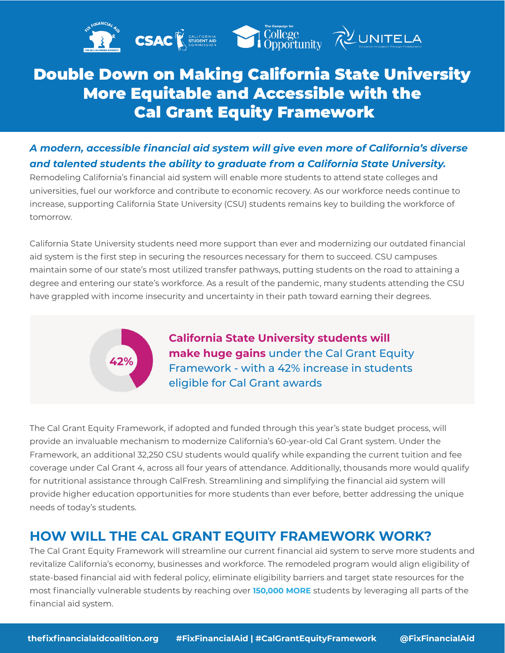

## Double Down on Making California State University More Equitable and Accessible with the Cal Grant Equity Framework

## *A modern, accessible financial aid system will give even more of California's diverse and talented students the ability to graduate from a California State University.*

Remodeling California's financial aid system will enable more students to attend state colleges and universities, fuel our workforce and contribute to economic recovery. As our workforce needs continue to increase, supporting California State University (CSU) students remains key to building the workforce of tomorrow.

California State University students need more support than ever and modernizing our outdated financial aid system is the first step in securing the resources necessary for them to succeed. CSU campuses maintain some of our state's most utilized transfer pathways, putting students on the road to attaining a degree and entering our state's workforce. As a result of the pandemic, many students attending the CSU have grappled with income insecurity and uncertainty in their path toward earning their degrees.



**California State University students will make huge gains** under the Cal Grant Equity Framework - with a 42% increase in students eligible for Cal Grant awards

The Cal Grant Equity Framework, if adopted and funded through this year's state budget process, will provide an invaluable mechanism to modernize California's 60-year-old Cal Grant system. Under the Framework, an additional 32,250 CSU students would qualify while expanding the current tuition and fee coverage under Cal Grant 4, across all four years of attendance. Additionally, thousands more would qualify for nutritional assistance through CalFresh. Streamlining and simplifying the financial aid system will provide higher education opportunities for more students than ever before, better addressing the unique needs of today's students.

## **HOW WILL THE CAL GRANT EQUITY FRAMEWORK WORK?**

The Cal Grant Equity Framework will streamline our current financial aid system to serve more students and revitalize California's economy, businesses and workforce. The remodeled program would align eligibility of state-based financial aid with federal policy, eliminate eligibility barriers and target state resources for the most financially vulnerable students by reaching over **150,000 MORE** students by leveraging all parts of the financial aid system.